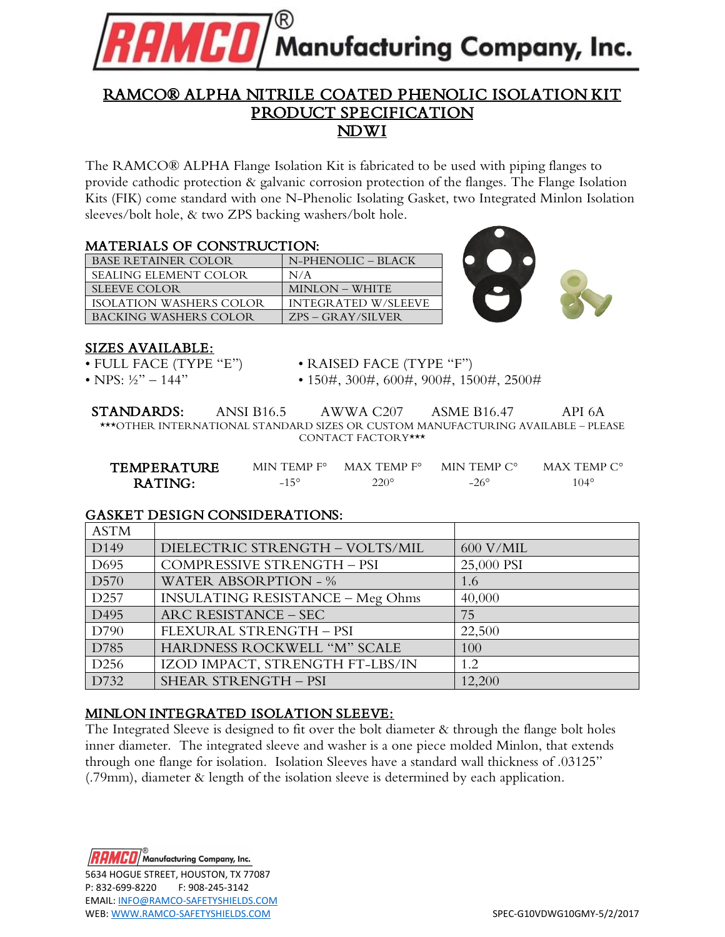

# RAMCO® ALPHA NITRILE COATED PHENOLIC ISOLATION KIT PRODUCT SPECIFICATION NDWI

The RAMCO® ALPHA Flange Isolation Kit is fabricated to be used with piping flanges to provide cathodic protection & galvanic corrosion protection of the flanges. The Flange Isolation Kits (FIK) come standard with one N-Phenolic Isolating Gasket, two Integrated Minlon Isolation sleeves/bolt hole, & two ZPS backing washers/bolt hole.

## MATERIALS OF CONSTRUCTION:

| <b>BASE RETAINER COLOR</b>   | N-PHENOLIC - BLACK         |
|------------------------------|----------------------------|
| <b>SEALING ELEMENT COLOR</b> | N/A                        |
| <b>SLEEVE COLOR</b>          | <b>MINLON - WHITE</b>      |
| ISOLATION WASHERS COLOR      | <b>INTEGRATED W/SLEEVE</b> |
| BACKING WASHERS COLOR        | $ZPS - GRAY/SILVER$        |



## SIZES AVAILABLE:

- 
- 
- FULL FACE (TYPE "E") RAISED FACE (TYPE "F")

• NPS: ½" – 144" • 150#, 300#, 600#, 900#, 1500#, 2500#

STANDARDS: ANSI B16.5 AWWA C207 ASME B16.47 API 6A \*\*\*OTHER INTERNATIONAL STANDARD SIZES OR CUSTOM MANUFACTURING AVAILABLE – PLEASE CONTACT FACTORY\*\*\*

| TEMPERATURE | MIN TEMP F°   | $MAX$ TEMP $F^{\circ}$ | MIN TEMP C° | MAX TEMP $C^{\circ}$ |
|-------------|---------------|------------------------|-------------|----------------------|
| RATING:     | $-15^{\circ}$ | $220^\circ$            | $-26^\circ$ | $04^{\circ}$         |

## GASKET DESIGN CONSIDERATIONS:

| <b>ASTM</b>      |                                         |            |
|------------------|-----------------------------------------|------------|
| D <sub>149</sub> | DIELECTRIC STRENGTH - VOLTS/MIL         | 600 V/MIL  |
| D <sub>695</sub> | COMPRESSIVE STRENGTH - PSI              | 25,000 PSI |
| D <sub>570</sub> | <b>WATER ABSORPTION - %</b>             | 1.6        |
| D <sub>257</sub> | <b>INSULATING RESISTANCE - Meg Ohms</b> | 40,000     |
| D <sub>495</sub> | ARC RESISTANCE - SEC                    | 75         |
| D790             | FLEXURAL STRENGTH - PSI                 | 22,500     |
| D785             | HARDNESS ROCKWELL "M" SCALE             | 100        |
| D <sub>256</sub> | IZOD IMPACT, STRENGTH FT-LBS/IN         | 1.2        |
| D732             | <b>SHEAR STRENGTH - PSI</b>             | 12,200     |

## MINLON INTEGRATED ISOLATION SLEEVE:

The Integrated Sleeve is designed to fit over the bolt diameter & through the flange bolt holes inner diameter. The integrated sleeve and washer is a one piece molded Minlon, that extends through one flange for isolation. Isolation Sleeves have a standard wall thickness of .03125" (.79mm), diameter & length of the isolation sleeve is determined by each application.

 $\textit{MED}/$  Manufacturing Company, Inc. 5634 HOGUE STREET, HOUSTON, TX 77087 P: 832-699-8220 F: 908-245-3142 EMAIL: [INFO@RAMCO-SAFETYSHIELDS.COM](mailto:INFO@RAMCO-SAFETYSHIELDS.COM) WEB[: WWW.RAMCO-SAFETYSHIELDS.COM](http://www.ramco-safetyshields.com/) SPEC-G10VDWG10GMY-5/2/2017